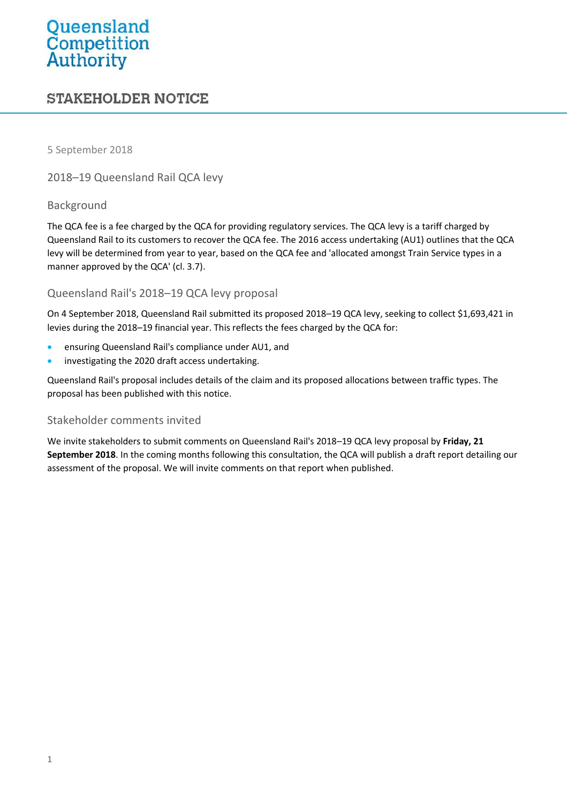# Queensland<br>Competition<br>Authority

# **STAKEHOLDER NOTICE**

5 September 2018

2018–19 Queensland Rail QCA levy

### Background

The QCA fee is a fee charged by the QCA for providing regulatory services. The QCA levy is a tariff charged by Queensland Rail to its customers to recover the QCA fee. The 2016 access undertaking (AU1) outlines that the QCA levy will be determined from year to year, based on the QCA fee and 'allocated amongst Train Service types in a manner approved by the QCA' (cl. 3.7).

## Queensland Rail's 2018–19 QCA levy proposal

On 4 September 2018, Queensland Rail submitted its proposed 2018–19 QCA levy, seeking to collect \$1,693,421 in levies during the 2018–19 financial year. This reflects the fees charged by the QCA for:

- ensuring Queensland Rail's compliance under AU1, and
- **•** investigating the 2020 draft access undertaking.

Queensland Rail's proposal includes details of the claim and its proposed allocations between traffic types. The proposal has been published with this notice.

### Stakeholder comments invited

We invite stakeholders to submit comments on Queensland Rail's 2018–19 QCA levy proposal by **Friday, 21 September 2018**. In the coming months following this consultation, the QCA will publish a draft report detailing our assessment of the proposal. We will invite comments on that report when published.